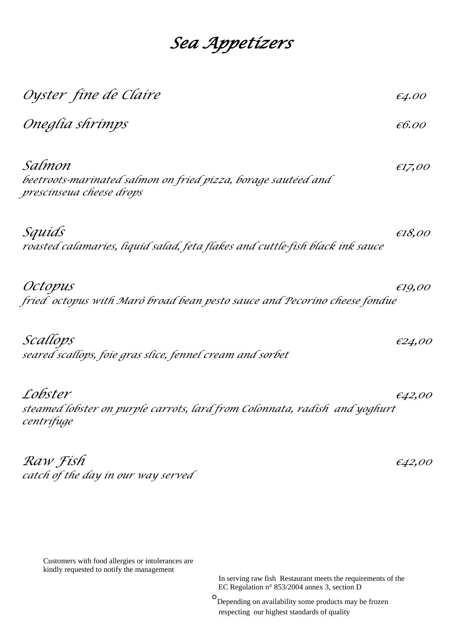## *Sea Appetizers*

| Oyster fine de Claire                                                                               | €4.00            |
|-----------------------------------------------------------------------------------------------------|------------------|
| Oneglía shrímps                                                                                     | $\epsilon$ 6.00  |
| Salmon<br>beetroots-marinated salmon on fried pizza, borage sautéed and<br>prescinseua cheese drops | E17,00           |
| Squíds<br>roasted calamaríes, líquíd salad, feta flakes and cuttle-físh black ínk sauce             | E18,00           |
| Octopus<br>fried octopus with Maro broad bean pesto sauce and Pecorino cheese fondue                | E19,00           |
| Scallops<br>seared scallops, foie gras slice, fennel cream and sorbet                               | €24,00           |
| Lobster<br>steamed lobster on purple carrots, lard from Colonnata, radish and yoghurt<br>centrífuge | $\epsilon$ 42,00 |
| Raw Fish<br>catch of the day in our way served                                                      | €42,00           |

Customers with food allergies or intolerances are kindly requested to notify the management

In serving raw fish Restaurant meets the requirements of the late of the late of the late of the late of the late of the late of the late of the late of the late of the late of the late of the late of the late of the late EC Regulation n° 853/2004 annex 3, section D

 $\overline{\phantom{a}}$ Depending on availability some products may be frozen respecting our highest standards of quality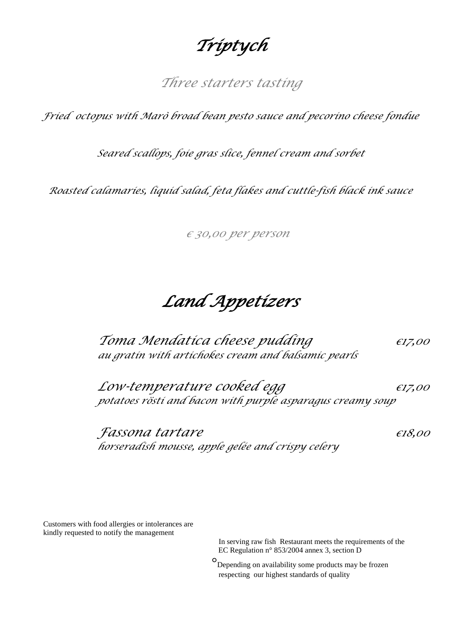## *Triptych*

*Three starters tasting*

*Fried octopus with Marò broad bean pesto sauce and pecorino cheese fondue*

*Seared scallops, foie gras slice, fennel cream and sorbet*

*Roasted calamaries, liquid salad, feta flakes and cuttle-fish black ink sauce*

*€ 30,00 per person* 

*Land Appetizers* 

 *Toma Mendatica cheese pudding €17,<sup>00</sup> au gratin with artichokes cream and balsamic pearls*

*Low-temperature cooked egg €17,00 potatoes rösti and bacon with purple asparagus creamy soup*

*Fassona tartare €18,00 horseradish mousse, apple gelée and crispy celery*

Customers with food allergies or intolerances are kindly requested to notify the management

> In serving raw fish Restaurant meets the requirements of the EC Regulation n° 853/2004 annex 3, section D

 $\overline{\phantom{a}}$ Depending on availability some products may be frozen respecting our highest standards of quality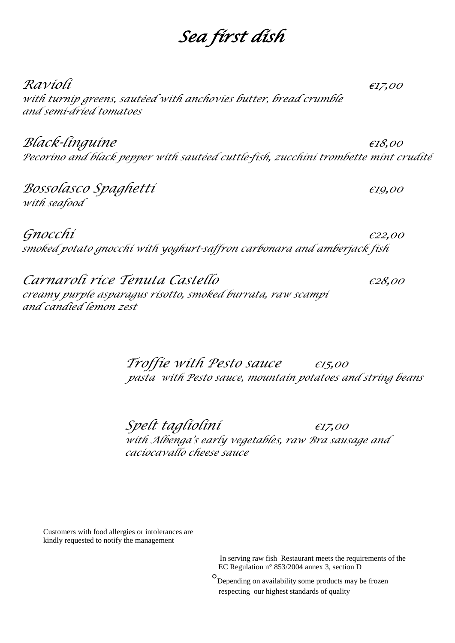## *Sea first dish*

*Ravioli €17,<sup>00</sup> with turnip greens, sautéed with anchovies butter, bread crumble and semi-dried tomatoes*

*Black-linguine €18,<sup>00</sup> Pecorino and black pepper with sautéed cuttle-fish, zucchini trombette mint crudité* 

*Bossolasco Spaghetti €19,<sup>00</sup> with seafood*

*Gnocchi €22,<sup>00</sup> smoked potato gnocchi with yoghurt-saffron carbonara and amberjack fish* 

*Carnaroli rice Tenuta Castello €28,<sup>00</sup> creamy purple asparagus risotto, smoked burrata, raw scampi and candied lemon zest*

> *Troffie with Pesto sauce €15,<sup>00</sup> pasta with Pesto sauce, mountain potatoes and string beans*

 *Spelt tagliolini €17,<sup>00</sup> with Albenga's early vegetables, raw Bra sausage and caciocavallo cheese sauce*

Customers with food allergies or intolerances are kindly requested to notify the management

> In serving raw fish Restaurant meets the requirements of the EC Regulation n° 853/2004 annex 3, section D

 $\overline{\phantom{a}}$ O Depending on availability some products may be frozen respecting our highest standards of quality